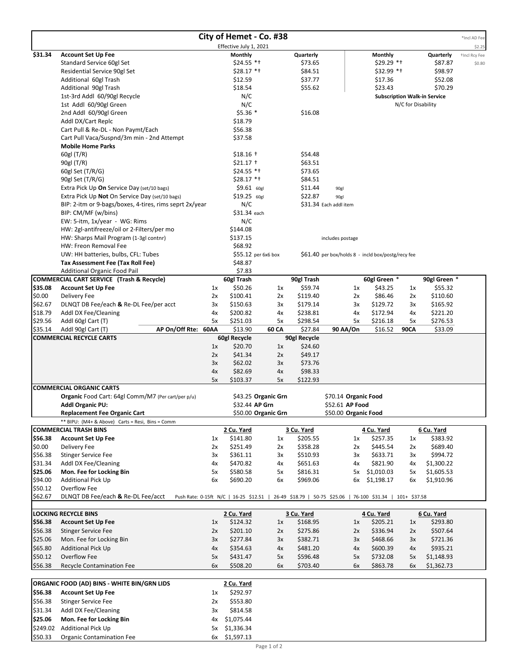| City of Hemet - Co. #38                                   |                                                                               |          |                                                                                                       |          |                     |                                                    |                    |                    |                                     | *Incl AD Fee  |
|-----------------------------------------------------------|-------------------------------------------------------------------------------|----------|-------------------------------------------------------------------------------------------------------|----------|---------------------|----------------------------------------------------|--------------------|--------------------|-------------------------------------|---------------|
|                                                           |                                                                               |          | Effective July 1, 2021                                                                                |          |                     |                                                    |                    |                    |                                     | \$2.25        |
| \$31.34                                                   | <b>Account Set Up Fee</b>                                                     |          | <b>Monthly</b>                                                                                        |          | Quarterly           |                                                    | <b>Monthly</b>     |                    | Quarterly                           | +Incl Rcy Fee |
|                                                           | Standard Service 60gl Set                                                     |          | $$24.55$ *t                                                                                           |          | \$73.65             |                                                    | $$29.29$ *t        |                    | \$87.87                             | \$0.80        |
|                                                           | Residential Service 90gl Set                                                  |          | $$28.17$ *+                                                                                           |          | \$84.51             |                                                    | $$32.99$ *t        |                    | \$98.97                             |               |
|                                                           | Additional 60gl Trash                                                         |          | \$12.59                                                                                               |          | \$37.77             |                                                    | \$17.36            |                    | \$52.08                             |               |
|                                                           | Additional 90gl Trash                                                         |          | \$18.54                                                                                               |          | \$55.62             |                                                    | \$23.43            |                    | \$70.29                             |               |
|                                                           | 1st-3rd Addl 60/90gl Recycle                                                  |          | N/C                                                                                                   |          |                     |                                                    |                    |                    | <b>Subscription Walk-in Service</b> |               |
|                                                           | 1st Addl 60/90gl Green                                                        |          | N/C                                                                                                   |          |                     |                                                    |                    | N/C for Disability |                                     |               |
|                                                           | 2nd Addl 60/90gl Green                                                        |          | $$5.36$ *                                                                                             |          | \$16.08             |                                                    |                    |                    |                                     |               |
|                                                           | Addl DX/Cart Replc                                                            |          | \$18.79                                                                                               |          |                     |                                                    |                    |                    |                                     |               |
|                                                           | Cart Pull & Re-DL - Non Paymt/Each                                            |          | \$56.38<br>\$37.58                                                                                    |          |                     |                                                    |                    |                    |                                     |               |
|                                                           | Cart Pull Vaca/Suspnd/3m min - 2nd Attempt<br><b>Mobile Home Parks</b>        |          |                                                                                                       |          |                     |                                                    |                    |                    |                                     |               |
|                                                           | 60gl (T/R)                                                                    |          | $$18.16$ +                                                                                            |          | \$54.48             |                                                    |                    |                    |                                     |               |
|                                                           | 90gl (T/R)                                                                    |          | $$21.17$ +                                                                                            |          | \$63.51             |                                                    |                    |                    |                                     |               |
|                                                           | 60gl Set (T/R/G)                                                              |          | $$24.55$ *t                                                                                           |          | \$73.65             |                                                    |                    |                    |                                     |               |
|                                                           | 90gl Set (T/R/G)                                                              |          | $$28.17$ *+                                                                                           |          | \$84.51             |                                                    |                    |                    |                                     |               |
|                                                           | Extra Pick Up On Service Day (set/10 bags)                                    |          | $$9.61$ 60gl                                                                                          |          | \$11.44             | 90gl                                               |                    |                    |                                     |               |
|                                                           | Extra Pick Up Not On Service Day (set/10 bags)                                |          | \$19.25 60gl                                                                                          |          | \$22.87             | 90gl                                               |                    |                    |                                     |               |
|                                                           | BIP: 2-itm or 9-bags/boxes, 4-tires, rims seprt 2x/year                       |          | N/C                                                                                                   |          |                     | \$31.34 Each addl item                             |                    |                    |                                     |               |
|                                                           | BIP: CM/MF (w/bins)                                                           |          | \$31.34 each                                                                                          |          |                     |                                                    |                    |                    |                                     |               |
|                                                           | EW: 5-itm, 1x/year - WG: Rims                                                 |          | N/C                                                                                                   |          |                     |                                                    |                    |                    |                                     |               |
|                                                           | HW: 2gl-antifreeze/oil or 2-Filters/per mo                                    |          | \$144.08                                                                                              |          |                     |                                                    |                    |                    |                                     |               |
|                                                           | HW: Sharps Mail Program (1-3gl contnr)                                        |          | \$137.15                                                                                              |          |                     | includes postage                                   |                    |                    |                                     |               |
|                                                           | HW: Freon Removal Fee                                                         |          | \$68.92                                                                                               |          |                     |                                                    |                    |                    |                                     |               |
|                                                           | UW: HH batteries, bulbs, CFL: Tubes                                           |          | \$55.12 per 6x6 box                                                                                   |          |                     | \$61.40 per box/holds 8 - incld box/postg/recy fee |                    |                    |                                     |               |
|                                                           | Tax Assessment Fee (Tax Roll Fee)                                             |          | \$48.87                                                                                               |          |                     |                                                    |                    |                    |                                     |               |
|                                                           | Additional Organic Food Pail                                                  |          | \$7.83                                                                                                |          |                     |                                                    |                    |                    |                                     |               |
|                                                           | <b>COMMERCIAL CART SERVICE (Trash &amp; Recycle)</b>                          |          | 60gl Trash                                                                                            |          | 90gl Trash          |                                                    | 60gl Green *       |                    | 90gl Green *                        |               |
| \$35.08<br>\$0.00                                         | <b>Account Set Up Fee</b><br>Delivery Fee                                     | 1x       | \$50.26<br>\$100.41                                                                                   | 1x       | \$59.74<br>\$119.40 | 1x                                                 | \$43.25<br>\$86.46 | 1x                 | \$55.32<br>\$110.60                 |               |
| \$62.67                                                   | DLNQT DB Fee/each & Re-DL Fee/per acct                                        | 2x<br>3x | \$150.63                                                                                              | 2x<br>3x | \$179.14            | 2x<br>3x                                           | \$129.72           | 2x<br>3x           | \$165.92                            |               |
| \$18.79                                                   | Addl DX Fee/Cleaning                                                          | 4x       | \$200.82                                                                                              | 4х       | \$238.81            | 4x                                                 | \$172.94           | 4х                 | \$221.20                            |               |
| \$29.56                                                   | Addl 60gl Cart (T)                                                            | 5x       | \$251.03                                                                                              | 5x       | \$298.54            | 5x                                                 | \$216.18           | 5x                 | \$276.53                            |               |
| \$35.14                                                   | AP On/Off Rte: 60AA<br>Addl 90gl Cart (T)                                     |          | \$13.90                                                                                               | 60 CA    | \$27.84             | 90 AA/On                                           | \$16.52            | <b>90CA</b>        | \$33.09                             |               |
|                                                           | <b>COMMERCIAL RECYCLE CARTS</b>                                               |          | 60gl Recycle                                                                                          |          | 90gl Recycle        |                                                    |                    |                    |                                     |               |
|                                                           |                                                                               | 1x       | \$20.70                                                                                               | 1x       | \$24.60             |                                                    |                    |                    |                                     |               |
|                                                           |                                                                               | 2x       | \$41.34                                                                                               | 2x       | \$49.17             |                                                    |                    |                    |                                     |               |
|                                                           |                                                                               | 3x       | \$62.02                                                                                               | 3x       | \$73.76             |                                                    |                    |                    |                                     |               |
|                                                           |                                                                               | 4x       | \$82.69                                                                                               | 4x       | \$98.33             |                                                    |                    |                    |                                     |               |
|                                                           |                                                                               | 5x       | \$103.37                                                                                              | 5x       | \$122.93            |                                                    |                    |                    |                                     |               |
|                                                           | <b>COMMERCIAL ORGANIC CARTS</b>                                               |          |                                                                                                       |          |                     |                                                    |                    |                    |                                     |               |
|                                                           | Organic Food Cart: 64gl Comm/M7 (Per cart/per p/u)<br><b>Addl Organic PU:</b> |          | \$43.25 Organic Grn<br>\$32.44 AP Grn                                                                 |          |                     | \$70.14 Organic Food<br>\$52.61 AP Food            |                    |                    |                                     |               |
|                                                           | <b>Replacement Fee Organic Cart</b>                                           |          | \$50.00 Organic Grn                                                                                   |          |                     | \$50.00 Organic Food                               |                    |                    |                                     |               |
|                                                           | ** BIPU: (M4+ & Above) Carts = Resi, Bins = Comm                              |          |                                                                                                       |          |                     |                                                    |                    |                    |                                     |               |
|                                                           | <b>COMMERCIAL TRASH BINS</b>                                                  |          | 2 Cu. Yard                                                                                            |          | 3 Cu. Yard          |                                                    | 4 Cu. Yard         |                    | 6 Cu. Yard                          |               |
| \$56.38                                                   | <b>Account Set Up Fee</b>                                                     | 1x       | \$141.80                                                                                              | 1x       | \$205.55            | 1x                                                 | \$257.35           | 1x                 | \$383.92                            |               |
| \$0.00                                                    | Delivery Fee                                                                  | 2x       | \$251.49                                                                                              | 2x       | \$358.28            | 2x                                                 | \$445.54           | 2x                 | \$689.40                            |               |
| \$56.38                                                   | <b>Stinger Service Fee</b>                                                    | 3x       | \$361.11                                                                                              | 3x       | \$510.93            | 3x                                                 | \$633.71           | 3x                 | \$994.72                            |               |
| \$31.34                                                   | Addl DX Fee/Cleaning                                                          | 4x       | \$470.82                                                                                              | 4х       | \$651.63            | 4х                                                 | \$821.90           | 4x                 | \$1,300.22                          |               |
| \$25.06                                                   | Mon. Fee for Locking Bin                                                      | 5x       | \$580.58                                                                                              | 5x       | \$816.31            |                                                    | 5x \$1,010.03      | 5x                 | \$1,605.53                          |               |
| \$94.00                                                   | Additional Pick Up                                                            | 6x       | \$690.20                                                                                              | 6x       | \$969.06            |                                                    | 6x \$1,198.17      | 6x                 | \$1,910.96                          |               |
| \$50.12                                                   | Overflow Fee                                                                  |          |                                                                                                       |          |                     |                                                    |                    |                    |                                     |               |
| \$62.67                                                   | DLNQT DB Fee/each & Re-DL Fee/acct                                            |          | Push Rate: 0-15ft N/C   16-25 \$12.51   26-49 \$18.79   50-75 \$25.06   76-100 \$31.34   101+ \$37.58 |          |                     |                                                    |                    |                    |                                     |               |
|                                                           |                                                                               |          |                                                                                                       |          |                     |                                                    |                    |                    |                                     |               |
|                                                           | <b>LOCKING RECYCLE BINS</b>                                                   |          | 2 Cu. Yard                                                                                            |          | 3 Cu. Yard          |                                                    | 4 Cu. Yard         |                    | 6 Cu. Yard                          |               |
| \$56.38                                                   | <b>Account Set Up Fee</b>                                                     | 1x       | \$124.32                                                                                              | 1x       | \$168.95            | 1x                                                 | \$205.21           | 1x                 | \$293.80                            |               |
| \$56.38                                                   | <b>Stinger Service Fee</b>                                                    | 2x       | \$201.10                                                                                              | 2x       | \$275.86            | 2x                                                 | \$336.94           | 2x                 | \$507.64                            |               |
| \$25.06                                                   | Mon. Fee for Locking Bin                                                      | 3x       | \$277.84                                                                                              | 3x       | \$382.71            | 3x                                                 | \$468.66           | 3x                 | \$721.36                            |               |
| \$65.80                                                   | <b>Additional Pick Up</b>                                                     | 4x       | \$354.63                                                                                              | 4x       | \$481.20            | 4x                                                 | \$600.39           | 4x                 | \$935.21                            |               |
| \$50.12                                                   | Overflow Fee                                                                  | 5x       | \$431.47                                                                                              | 5x       | \$596.48            | 5x                                                 | \$732.08           | 5x                 | \$1,148.93                          |               |
| \$56.38                                                   | Recycle Contamination Fee                                                     | 6x       | \$508.20                                                                                              | 6x       | \$703.40            | 6x                                                 | \$863.78           | 6x                 | \$1,362.73                          |               |
| ORGANIC FOOD (AD) BINS - WHITE BIN/GRN LIDS<br>2 Cu. Yard |                                                                               |          |                                                                                                       |          |                     |                                                    |                    |                    |                                     |               |
| \$56.38                                                   | <b>Account Set Up Fee</b>                                                     | 1x       | \$292.97                                                                                              |          |                     |                                                    |                    |                    |                                     |               |
| \$56.38                                                   | <b>Stinger Service Fee</b>                                                    | 2x       | \$553.80                                                                                              |          |                     |                                                    |                    |                    |                                     |               |
| \$31.34                                                   | Addl DX Fee/Cleaning                                                          | 3x       | \$814.58                                                                                              |          |                     |                                                    |                    |                    |                                     |               |
| \$25.06                                                   | Mon. Fee for Locking Bin                                                      | 4x       | \$1,075.44                                                                                            |          |                     |                                                    |                    |                    |                                     |               |
| \$249.02                                                  | Additional Pick Up                                                            | 5x       | \$1,336.34                                                                                            |          |                     |                                                    |                    |                    |                                     |               |
| \$50.33                                                   | <b>Organic Contamination Fee</b>                                              |          | 6x \$1,597.13                                                                                         |          |                     |                                                    |                    |                    |                                     |               |
|                                                           |                                                                               |          |                                                                                                       |          |                     |                                                    |                    |                    |                                     |               |